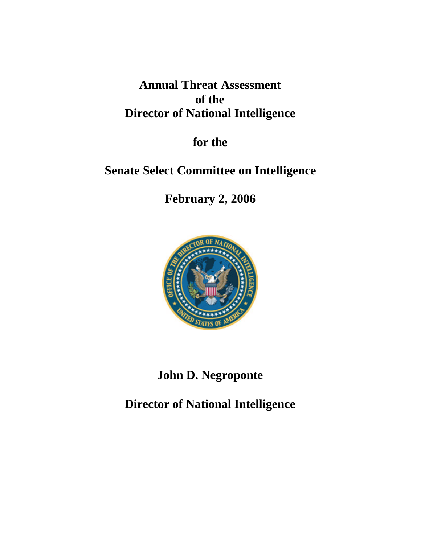# **Annual Threat Assessment of the Director of National Intelligence**

**for the**

# **Senate Select Committee on Intelligence**

**February 2, 2006**



# **John D. Negroponte**

**Director of National Intelligence**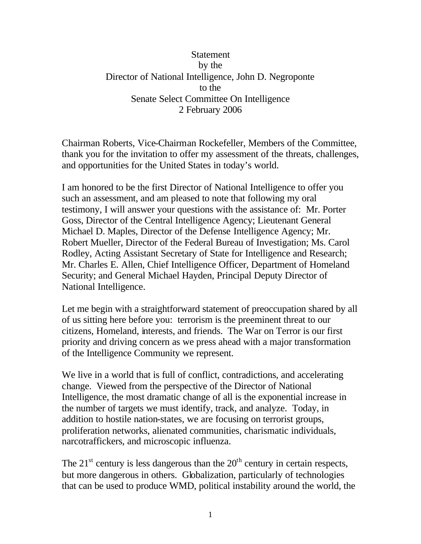#### **Statement** by the Director of National Intelligence, John D. Negroponte to the Senate Select Committee On Intelligence 2 February 2006

Chairman Roberts, Vice-Chairman Rockefeller, Members of the Committee, thank you for the invitation to offer my assessment of the threats, challenges, and opportunities for the United States in today's world.

I am honored to be the first Director of National Intelligence to offer you such an assessment, and am pleased to note that following my oral testimony, I will answer your questions with the assistance of: Mr. Porter Goss, Director of the Central Intelligence Agency; Lieutenant General Michael D. Maples, Director of the Defense Intelligence Agency; Mr. Robert Mueller, Director of the Federal Bureau of Investigation; Ms. Carol Rodley, Acting Assistant Secretary of State for Intelligence and Research; Mr. Charles E. Allen, Chief Intelligence Officer, Department of Homeland Security; and General Michael Hayden, Principal Deputy Director of National Intelligence.

Let me begin with a straightforward statement of preoccupation shared by all of us sitting here before you: terrorism is the preeminent threat to our citizens, Homeland, interests, and friends. The War on Terror is our first priority and driving concern as we press ahead with a major transformation of the Intelligence Community we represent.

We live in a world that is full of conflict, contradictions, and accelerating change. Viewed from the perspective of the Director of National Intelligence, the most dramatic change of all is the exponential increase in the number of targets we must identify, track, and analyze. Today, in addition to hostile nation-states, we are focusing on terrorist groups, proliferation networks, alienated communities, charismatic individuals, narcotraffickers, and microscopic influenza.

The  $21<sup>st</sup>$  century is less dangerous than the  $20<sup>th</sup>$  century in certain respects, but more dangerous in others. Globalization, particularly of technologies that can be used to produce WMD, political instability around the world, the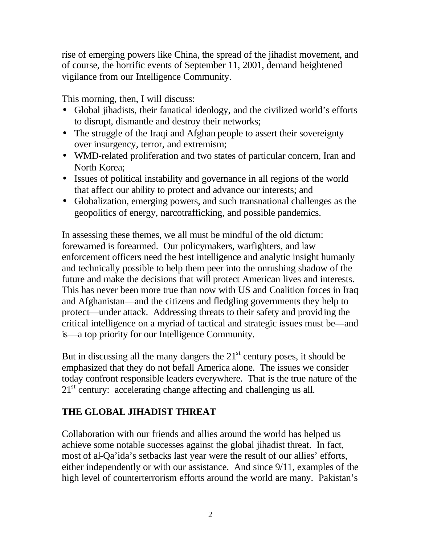rise of emerging powers like China, the spread of the jihadist movement, and of course, the horrific events of September 11, 2001, demand heightened vigilance from our Intelligence Community.

This morning, then, I will discuss:

- Global jihadists, their fanatical ideology, and the civilized world's efforts to disrupt, dismantle and destroy their networks;
- The struggle of the Iraqi and Afghan people to assert their sovereignty over insurgency, terror, and extremism;
- WMD-related proliferation and two states of particular concern, Iran and North Korea;
- Issues of political instability and governance in all regions of the world that affect our ability to protect and advance our interests; and
- Globalization, emerging powers, and such transnational challenges as the geopolitics of energy, narcotrafficking, and possible pandemics.

In assessing these themes, we all must be mindful of the old dictum: forewarned is forearmed. Our policymakers, warfighters, and law enforcement officers need the best intelligence and analytic insight humanly and technically possible to help them peer into the onrushing shadow of the future and make the decisions that will protect American lives and interests. This has never been more true than now with US and Coalition forces in Iraq and Afghanistan—and the citizens and fledgling governments they help to protect—under attack. Addressing threats to their safety and providing the critical intelligence on a myriad of tactical and strategic issues must be—and is—a top priority for our Intelligence Community.

But in discussing all the many dangers the  $21<sup>st</sup>$  century poses, it should be emphasized that they do not befall America alone. The issues we consider today confront responsible leaders everywhere. That is the true nature of the  $21<sup>st</sup>$  century: accelerating change affecting and challenging us all.

# **THE GLOBAL JIHADIST THREAT**

Collaboration with our friends and allies around the world has helped us achieve some notable successes against the global jihadist threat. In fact, most of al-Qa'ida's setbacks last year were the result of our allies' efforts, either independently or with our assistance. And since 9/11, examples of the high level of counterterrorism efforts around the world are many. Pakistan's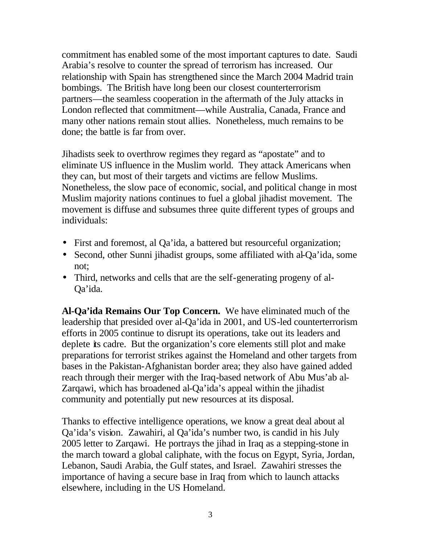commitment has enabled some of the most important captures to date. Saudi Arabia's resolve to counter the spread of terrorism has increased. Our relationship with Spain has strengthened since the March 2004 Madrid train bombings. The British have long been our closest counterterrorism partners—the seamless cooperation in the aftermath of the July attacks in London reflected that commitment—while Australia, Canada, France and many other nations remain stout allies. Nonetheless, much remains to be done; the battle is far from over.

Jihadists seek to overthrow regimes they regard as "apostate" and to eliminate US influence in the Muslim world. They attack Americans when they can, but most of their targets and victims are fellow Muslims. Nonetheless, the slow pace of economic, social, and political change in most Muslim majority nations continues to fuel a global jihadist movement. The movement is diffuse and subsumes three quite different types of groups and individuals:

- First and foremost, al Qa'ida, a battered but resourceful organization;
- Second, other Sunni jihadist groups, some affiliated with al-Qa'ida, some not;
- Third, networks and cells that are the self-generating progeny of al-Qa'ida.

**Al-Qa'ida Remains Our Top Concern.** We have eliminated much of the leadership that presided over al-Qa'ida in 2001, and US-led counterterrorism efforts in 2005 continue to disrupt its operations, take out its leaders and deplete its cadre. But the organization's core elements still plot and make preparations for terrorist strikes against the Homeland and other targets from bases in the Pakistan-Afghanistan border area; they also have gained added reach through their merger with the Iraq-based network of Abu Mus'ab al-Zarqawi, which has broadened al-Qa'ida's appeal within the jihadist community and potentially put new resources at its disposal.

Thanks to effective intelligence operations, we know a great deal about al Qa'ida's vision. Zawahiri, al Qa'ida's number two, is candid in his July 2005 letter to Zarqawi. He portrays the jihad in Iraq as a stepping-stone in the march toward a global caliphate, with the focus on Egypt, Syria, Jordan, Lebanon, Saudi Arabia, the Gulf states, and Israel. Zawahiri stresses the importance of having a secure base in Iraq from which to launch attacks elsewhere, including in the US Homeland.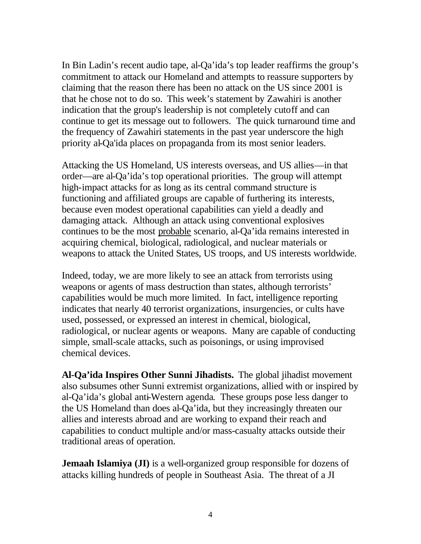In Bin Ladin's recent audio tape, al-Qa'ida's top leader reaffirms the group's commitment to attack our Homeland and attempts to reassure supporters by claiming that the reason there has been no attack on the US since 2001 is that he chose not to do so. This week's statement by Zawahiri is another indication that the group's leadership is not completely cutoff and can continue to get its message out to followers. The quick turnaround time and the frequency of Zawahiri statements in the past year underscore the high priority al-Qa'ida places on propaganda from its most senior leaders.

Attacking the US Homeland, US interests overseas, and US allies—in that order—are al-Qa'ida's top operational priorities. The group will attempt high-impact attacks for as long as its central command structure is functioning and affiliated groups are capable of furthering its interests, because even modest operational capabilities can yield a deadly and damaging attack. Although an attack using conventional explosives continues to be the most probable scenario, al-Qa'ida remains interested in acquiring chemical, biological, radiological, and nuclear materials or weapons to attack the United States, US troops, and US interests worldwide.

Indeed, today, we are more likely to see an attack from terrorists using weapons or agents of mass destruction than states, although terrorists' capabilities would be much more limited. In fact, intelligence reporting indicates that nearly 40 terrorist organizations, insurgencies, or cults have used, possessed, or expressed an interest in chemical, biological, radiological, or nuclear agents or weapons. Many are capable of conducting simple, small-scale attacks, such as poisonings, or using improvised chemical devices.

**Al-Qa'ida Inspires Other Sunni Jihadists.** The global jihadist movement also subsumes other Sunni extremist organizations, allied with or inspired by al-Qa'ida's global anti-Western agenda. These groups pose less danger to the US Homeland than does al-Qa'ida, but they increasingly threaten our allies and interests abroad and are working to expand their reach and capabilities to conduct multiple and/or mass-casualty attacks outside their traditional areas of operation.

**Jemaah Islamiya (JI)** is a well-organized group responsible for dozens of attacks killing hundreds of people in Southeast Asia. The threat of a JI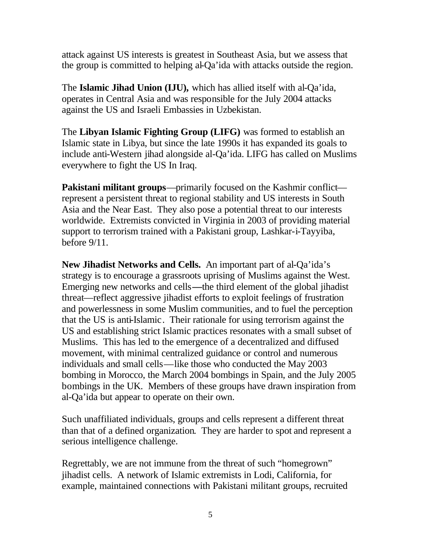attack against US interests is greatest in Southeast Asia, but we assess that the group is committed to helping al-Qa'ida with attacks outside the region.

The **Islamic Jihad Union (IJU),** which has allied itself with al-Qa'ida, operates in Central Asia and was responsible for the July 2004 attacks against the US and Israeli Embassies in Uzbekistan.

The **Libyan Islamic Fighting Group (LIFG)** was formed to establish an Islamic state in Libya, but since the late 1990s it has expanded its goals to include anti-Western jihad alongside al-Qa'ida. LIFG has called on Muslims everywhere to fight the US In Iraq.

**Pakistani militant groups**—primarily focused on the Kashmir conflict represent a persistent threat to regional stability and US interests in South Asia and the Near East. They also pose a potential threat to our interests worldwide. Extremists convicted in Virginia in 2003 of providing material support to terrorism trained with a Pakistani group, Lashkar-i-Tayyiba, before 9/11.

**New Jihadist Networks and Cells.** An important part of al-Qa'ida's strategy is to encourage a grassroots uprising of Muslims against the West. Emerging new networks and cells**—**the third element of the global jihadist threat—reflect aggressive jihadist efforts to exploit feelings of frustration and powerlessness in some Muslim communities, and to fuel the perception that the US is anti-Islamic. Their rationale for using terrorism against the US and establishing strict Islamic practices resonates with a small subset of Muslims. This has led to the emergence of a decentralized and diffused movement, with minimal centralized guidance or control and numerous individuals and small cells—like those who conducted the May 2003 bombing in Morocco, the March 2004 bombings in Spain, and the July 2005 bombings in the UK. Members of these groups have drawn inspiration from al-Qa'ida but appear to operate on their own.

Such unaffiliated individuals, groups and cells represent a different threat than that of a defined organization. They are harder to spot and represent a serious intelligence challenge.

Regrettably, we are not immune from the threat of such "homegrown" jihadist cells. A network of Islamic extremists in Lodi, California, for example, maintained connections with Pakistani militant groups, recruited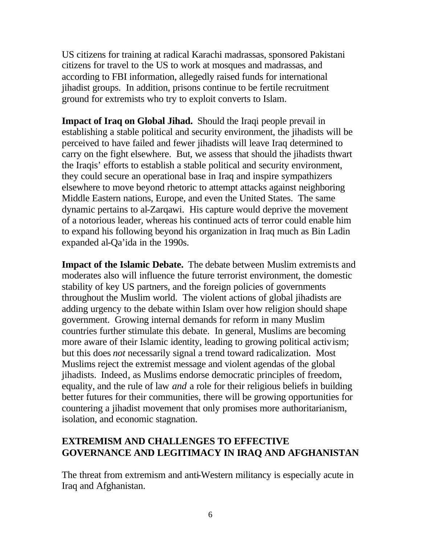US citizens for training at radical Karachi madrassas, sponsored Pakistani citizens for travel to the US to work at mosques and madrassas, and according to FBI information, allegedly raised funds for international jihadist groups. In addition, prisons continue to be fertile recruitment ground for extremists who try to exploit converts to Islam.

**Impact of Iraq on Global Jihad.** Should the Iraqi people prevail in establishing a stable political and security environment, the jihadists will be perceived to have failed and fewer jihadists will leave Iraq determined to carry on the fight elsewhere. But, we assess that should the jihadists thwart the Iraqis' efforts to establish a stable political and security environment, they could secure an operational base in Iraq and inspire sympathizers elsewhere to move beyond rhetoric to attempt attacks against neighboring Middle Eastern nations, Europe, and even the United States. The same dynamic pertains to al-Zarqawi. His capture would deprive the movement of a notorious leader, whereas his continued acts of terror could enable him to expand his following beyond his organization in Iraq much as Bin Ladin expanded al-Qa'ida in the 1990s.

**Impact of the Islamic Debate.** The debate between Muslim extremists and moderates also will influence the future terrorist environment, the domestic stability of key US partners, and the foreign policies of governments throughout the Muslim world. The violent actions of global jihadists are adding urgency to the debate within Islam over how religion should shape government. Growing internal demands for reform in many Muslim countries further stimulate this debate. In general, Muslims are becoming more aware of their Islamic identity, leading to growing political activism; but this does *not* necessarily signal a trend toward radicalization. Most Muslims reject the extremist message and violent agendas of the global jihadists. Indeed, as Muslims endorse democratic principles of freedom, equality, and the rule of law *and* a role for their religious beliefs in building better futures for their communities, there will be growing opportunities for countering a jihadist movement that only promises more authoritarianism, isolation, and economic stagnation.

#### **EXTREMISM AND CHALLENGES TO EFFECTIVE GOVERNANCE AND LEGITIMACY IN IRAQ AND AFGHANISTAN**

The threat from extremism and anti-Western militancy is especially acute in Iraq and Afghanistan.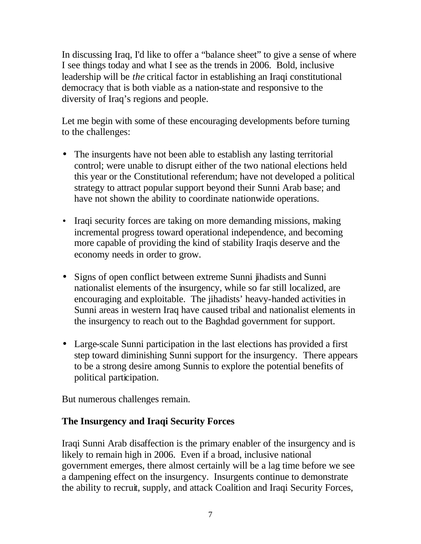In discussing Iraq, I'd like to offer a "balance sheet" to give a sense of where I see things today and what I see as the trends in 2006. Bold, inclusive leadership will be *the* critical factor in establishing an Iraqi constitutional democracy that is both viable as a nation-state and responsive to the diversity of Iraq's regions and people.

Let me begin with some of these encouraging developments before turning to the challenges:

- The insurgents have not been able to establish any lasting territorial control; were unable to disrupt either of the two national elections held this year or the Constitutional referendum; have not developed a political strategy to attract popular support beyond their Sunni Arab base; and have not shown the ability to coordinate nationwide operations.
- Iraqi security forces are taking on more demanding missions, making incremental progress toward operational independence, and becoming more capable of providing the kind of stability Iraqis deserve and the economy needs in order to grow.
- Signs of open conflict between extreme Sunni jihadists and Sunni nationalist elements of the insurgency, while so far still localized, are encouraging and exploitable. The jihadists' heavy-handed activities in Sunni areas in western Iraq have caused tribal and nationalist elements in the insurgency to reach out to the Baghdad government for support.
- Large-scale Sunni participation in the last elections has provided a first step toward diminishing Sunni support for the insurgency. There appears to be a strong desire among Sunnis to explore the potential benefits of political participation.

But numerous challenges remain.

### **The Insurgency and Iraqi Security Forces**

Iraqi Sunni Arab disaffection is the primary enabler of the insurgency and is likely to remain high in 2006. Even if a broad, inclusive national government emerges, there almost certainly will be a lag time before we see a dampening effect on the insurgency. Insurgents continue to demonstrate the ability to recruit, supply, and attack Coalition and Iraqi Security Forces,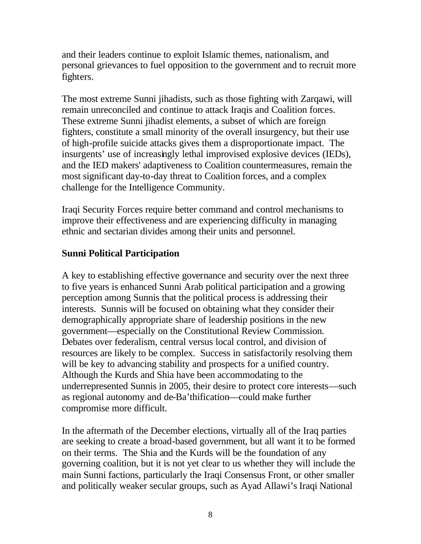and their leaders continue to exploit Islamic themes, nationalism, and personal grievances to fuel opposition to the government and to recruit more fighters.

The most extreme Sunni jihadists, such as those fighting with Zarqawi, will remain unreconciled and continue to attack Iraqis and Coalition forces. These extreme Sunni jihadist elements, a subset of which are foreign fighters, constitute a small minority of the overall insurgency, but their use of high-profile suicide attacks gives them a disproportionate impact. The insurgents' use of increasingly lethal improvised explosive devices (IEDs), and the IED makers' adaptiveness to Coalition countermeasures, remain the most significant day-to-day threat to Coalition forces, and a complex challenge for the Intelligence Community.

Iraqi Security Forces require better command and control mechanisms to improve their effectiveness and are experiencing difficulty in managing ethnic and sectarian divides among their units and personnel.

#### **Sunni Political Participation**

A key to establishing effective governance and security over the next three to five years is enhanced Sunni Arab political participation and a growing perception among Sunnis that the political process is addressing their interests. Sunnis will be focused on obtaining what they consider their demographically appropriate share of leadership positions in the new government—especially on the Constitutional Review Commission. Debates over federalism, central versus local control, and division of resources are likely to be complex. Success in satisfactorily resolving them will be key to advancing stability and prospects for a unified country. Although the Kurds and Shia have been accommodating to the underrepresented Sunnis in 2005, their desire to protect core interests—such as regional autonomy and de-Ba'thification—could make further compromise more difficult.

In the aftermath of the December elections, virtually all of the Iraq parties are seeking to create a broad-based government, but all want it to be formed on their terms. The Shia and the Kurds will be the foundation of any governing coalition, but it is not yet clear to us whether they will include the main Sunni factions, particularly the Iraqi Consensus Front, or other smaller and politically weaker secular groups, such as Ayad Allawi's Iraqi National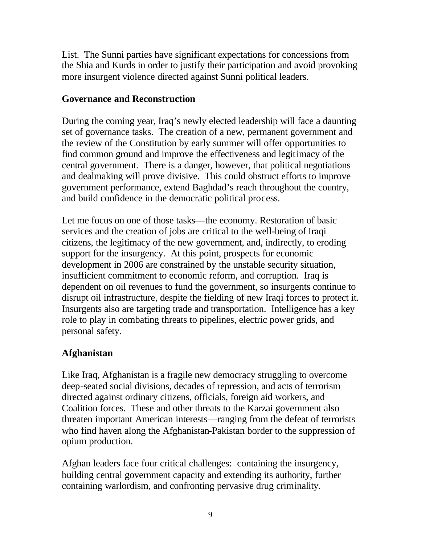List. The Sunni parties have significant expectations for concessions from the Shia and Kurds in order to justify their participation and avoid provoking more insurgent violence directed against Sunni political leaders.

#### **Governance and Reconstruction**

During the coming year, Iraq's newly elected leadership will face a daunting set of governance tasks. The creation of a new, permanent government and the review of the Constitution by early summer will offer opportunities to find common ground and improve the effectiveness and legitimacy of the central government. There is a danger, however, that political negotiations and dealmaking will prove divisive. This could obstruct efforts to improve government performance, extend Baghdad's reach throughout the country, and build confidence in the democratic political process.

Let me focus on one of those tasks—the economy. Restoration of basic services and the creation of jobs are critical to the well-being of Iraqi citizens, the legitimacy of the new government, and, indirectly, to eroding support for the insurgency. At this point, prospects for economic development in 2006 are constrained by the unstable security situation, insufficient commitment to economic reform, and corruption. Iraq is dependent on oil revenues to fund the government, so insurgents continue to disrupt oil infrastructure, despite the fielding of new Iraqi forces to protect it. Insurgents also are targeting trade and transportation. Intelligence has a key role to play in combating threats to pipelines, electric power grids, and personal safety.

### **Afghanistan**

Like Iraq, Afghanistan is a fragile new democracy struggling to overcome deep-seated social divisions, decades of repression, and acts of terrorism directed against ordinary citizens, officials, foreign aid workers, and Coalition forces. These and other threats to the Karzai government also threaten important American interests—ranging from the defeat of terrorists who find haven along the Afghanistan-Pakistan border to the suppression of opium production.

Afghan leaders face four critical challenges: containing the insurgency, building central government capacity and extending its authority, further containing warlordism, and confronting pervasive drug criminality.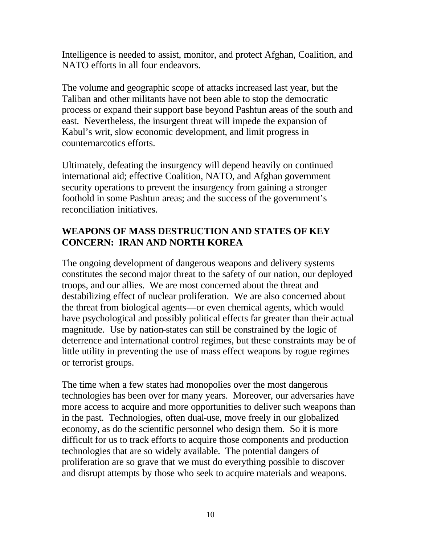Intelligence is needed to assist, monitor, and protect Afghan, Coalition, and NATO efforts in all four endeavors.

The volume and geographic scope of attacks increased last year, but the Taliban and other militants have not been able to stop the democratic process or expand their support base beyond Pashtun areas of the south and east. Nevertheless, the insurgent threat will impede the expansion of Kabul's writ, slow economic development, and limit progress in counternarcotics efforts.

Ultimately, defeating the insurgency will depend heavily on continued international aid; effective Coalition, NATO, and Afghan government security operations to prevent the insurgency from gaining a stronger foothold in some Pashtun areas; and the success of the government's reconciliation initiatives.

### **WEAPONS OF MASS DESTRUCTION AND STATES OF KEY CONCERN: IRAN AND NORTH KOREA**

The ongoing development of dangerous weapons and delivery systems constitutes the second major threat to the safety of our nation, our deployed troops, and our allies. We are most concerned about the threat and destabilizing effect of nuclear proliferation. We are also concerned about the threat from biological agents—or even chemical agents, which would have psychological and possibly political effects far greater than their actual magnitude. Use by nation-states can still be constrained by the logic of deterrence and international control regimes, but these constraints may be of little utility in preventing the use of mass effect weapons by rogue regimes or terrorist groups.

The time when a few states had monopolies over the most dangerous technologies has been over for many years. Moreover, our adversaries have more access to acquire and more opportunities to deliver such weapons than in the past. Technologies, often dual-use, move freely in our globalized economy, as do the scientific personnel who design them. So it is more difficult for us to track efforts to acquire those components and production technologies that are so widely available. The potential dangers of proliferation are so grave that we must do everything possible to discover and disrupt attempts by those who seek to acquire materials and weapons.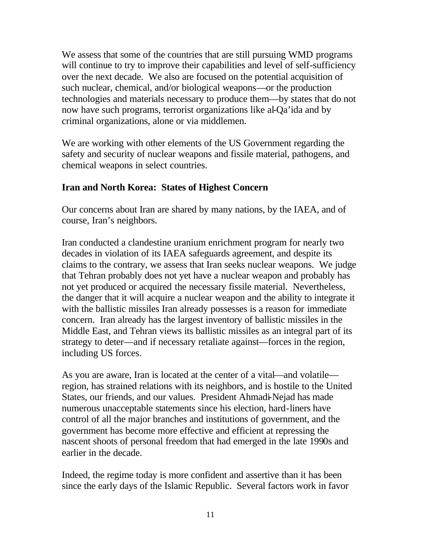We assess that some of the countries that are still pursuing WMD programs will continue to try to improve their capabilities and level of self-sufficiency over the next decade. We also are focused on the potential acquisition of such nuclear, chemical, and/or biological weapons—or the production technologies and materials necessary to produce them—by states that do not now have such programs, terrorist organizations like al-Qa'ida and by criminal organizations, alone or via middlemen.

We are working with other elements of the US Government regarding the safety and security of nuclear weapons and fissile material, pathogens, and chemical weapons in select countries.

#### **Iran and North Korea: States of Highest Concern**

Our concerns about Iran are shared by many nations, by the IAEA, and of course, Iran's neighbors.

Iran conducted a clandestine uranium enrichment program for nearly two decades in violation of its IAEA safeguards agreement, and despite its claims to the contrary, we assess that Iran seeks nuclear weapons. We judge that Tehran probably does not yet have a nuclear weapon and probably has not yet produced or acquired the necessary fissile material. Nevertheless, the danger that it will acquire a nuclear weapon and the ability to integrate it with the ballistic missiles Iran already possesses is a reason for immediate concern. Iran already has the largest inventory of ballistic missiles in the Middle East, and Tehran views its ballistic missiles as an integral part of its strategy to deter—and if necessary retaliate against—forces in the region, including US forces.

As you are aware, Iran is located at the center of a vital—and volatile region, has strained relations with its neighbors, and is hostile to the United States, our friends, and our values. President Ahmadi-Nejad has made numerous unacceptable statements since his election, hard-liners have control of all the major branches and institutions of government, and the government has become more effective and efficient at repressing the nascent shoots of personal freedom that had emerged in the late 1990s and earlier in the decade.

Indeed, the regime today is more confident and assertive than it has been since the early days of the Islamic Republic. Several factors work in favor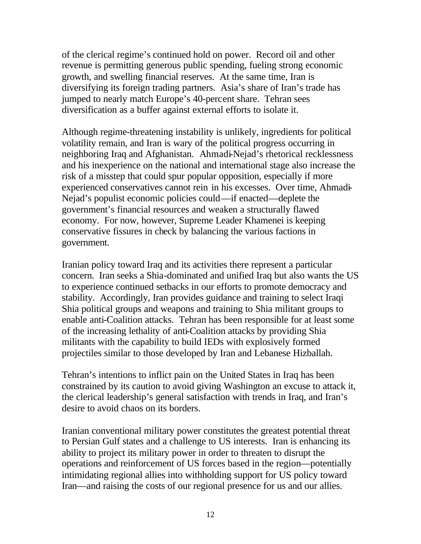of the clerical regime's continued hold on power. Record oil and other revenue is permitting generous public spending, fueling strong economic growth, and swelling financial reserves. At the same time, Iran is diversifying its foreign trading partners. Asia's share of Iran's trade has jumped to nearly match Europe's 40-percent share. Tehran sees diversification as a buffer against external efforts to isolate it.

Although regime-threatening instability is unlikely, ingredients for political volatility remain, and Iran is wary of the political progress occurring in neighboring Iraq and Afghanistan.Ahmadi-Nejad's rhetorical recklessness and his inexperience on the national and international stage also increase the risk of a misstep that could spur popular opposition, especially if more experienced conservatives cannot rein in his excesses. Over time, Ahmadi-Nejad's populist economic policies could—if enacted—deplete the government's financial resources and weaken a structurally flawed economy. For now, however, Supreme Leader Khamenei is keeping conservative fissures in check by balancing the various factions in government.

Iranian policy toward Iraq and its activities there represent a particular concern. Iran seeks a Shia-dominated and unified Iraq but also wants the US to experience continued setbacks in our efforts to promote democracy and stability. Accordingly, Iran provides guidance and training to select Iraqi Shia political groups and weapons and training to Shia militant groups to enable anti-Coalition attacks. Tehran has been responsible for at least some of the increasing lethality of anti-Coalition attacks by providing Shia militants with the capability to build IEDs with explosively formed projectiles similar to those developed by Iran and Lebanese Hizballah.

Tehran's intentions to inflict pain on the United States in Iraq has been constrained by its caution to avoid giving Washington an excuse to attack it, the clerical leadership's general satisfaction with trends in Iraq, and Iran's desire to avoid chaos on its borders.

Iranian conventional military power constitutes the greatest potential threat to Persian Gulf states and a challenge to US interests. Iran is enhancing its ability to project its military power in order to threaten to disrupt the operations and reinforcement of US forces based in the region—potentially intimidating regional allies into withholding support for US policy toward Iran—and raising the costs of our regional presence for us and our allies.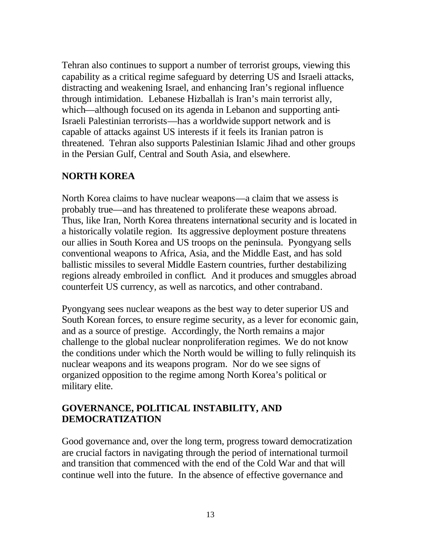Tehran also continues to support a number of terrorist groups, viewing this capability as a critical regime safeguard by deterring US and Israeli attacks, distracting and weakening Israel, and enhancing Iran's regional influence through intimidation. Lebanese Hizballah is Iran's main terrorist ally, which—although focused on its agenda in Lebanon and supporting anti-Israeli Palestinian terrorists—has a worldwide support network and is capable of attacks against US interests if it feels its Iranian patron is threatened. Tehran also supports Palestinian Islamic Jihad and other groups in the Persian Gulf, Central and South Asia, and elsewhere.

#### **NORTH KOREA**

North Korea claims to have nuclear weapons—a claim that we assess is probably true—and has threatened to proliferate these weapons abroad. Thus, like Iran, North Korea threatens international security and is located in a historically volatile region. Its aggressive deployment posture threatens our allies in South Korea and US troops on the peninsula. Pyongyang sells conventional weapons to Africa, Asia, and the Middle East, and has sold ballistic missiles to several Middle Eastern countries, further destabilizing regions already embroiled in conflict. And it produces and smuggles abroad counterfeit US currency, as well as narcotics, and other contraband.

Pyongyang sees nuclear weapons as the best way to deter superior US and South Korean forces, to ensure regime security, as a lever for economic gain, and as a source of prestige. Accordingly, the North remains a major challenge to the global nuclear nonproliferation regimes. We do not know the conditions under which the North would be willing to fully relinquish its nuclear weapons and its weapons program. Nor do we see signs of organized opposition to the regime among North Korea's political or military elite.

#### **GOVERNANCE, POLITICAL INSTABILITY, AND DEMOCRATIZATION**

Good governance and, over the long term, progress toward democratization are crucial factors in navigating through the period of international turmoil and transition that commenced with the end of the Cold War and that will continue well into the future. In the absence of effective governance and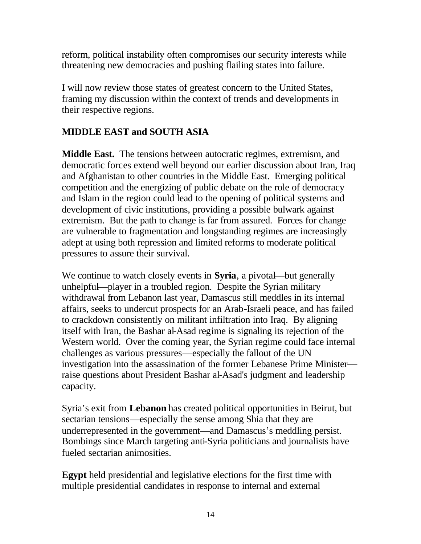reform, political instability often compromises our security interests while threatening new democracies and pushing flailing states into failure.

I will now review those states of greatest concern to the United States, framing my discussion within the context of trends and developments in their respective regions.

# **MIDDLE EAST and SOUTH ASIA**

**Middle East.** The tensions between autocratic regimes, extremism, and democratic forces extend well beyond our earlier discussion about Iran, Iraq and Afghanistan to other countries in the Middle East. Emerging political competition and the energizing of public debate on the role of democracy and Islam in the region could lead to the opening of political systems and development of civic institutions, providing a possible bulwark against extremism. But the path to change is far from assured. Forces for change are vulnerable to fragmentation and longstanding regimes are increasingly adept at using both repression and limited reforms to moderate political pressures to assure their survival.

We continue to watch closely events in **Syria**, a pivotal—but generally unhelpful—player in a troubled region. Despite the Syrian military withdrawal from Lebanon last year, Damascus still meddles in its internal affairs, seeks to undercut prospects for an Arab-Israeli peace, and has failed to crackdown consistently on militant infiltration into Iraq. By aligning itself with Iran, the Bashar al-Asad regime is signaling its rejection of the Western world. Over the coming year, the Syrian regime could face internal challenges as various pressures—especially the fallout of the UN investigation into the assassination of the former Lebanese Prime Minister raise questions about President Bashar al-Asad's judgment and leadership capacity.

Syria's exit from **Lebanon** has created political opportunities in Beirut, but sectarian tensions—especially the sense among Shia that they are underrepresented in the government—and Damascus's meddling persist. Bombings since March targeting anti-Syria politicians and journalists have fueled sectarian animosities.

**Egypt** held presidential and legislative elections for the first time with multiple presidential candidates in response to internal and external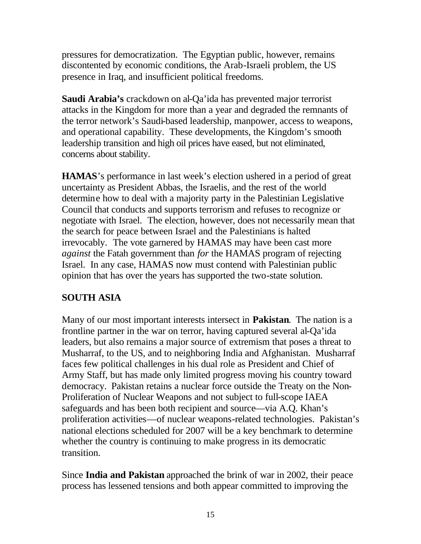pressures for democratization. The Egyptian public, however, remains discontented by economic conditions, the Arab-Israeli problem, the US presence in Iraq, and insufficient political freedoms.

**Saudi Arabia's** crackdown on al-Qa'ida has prevented major terrorist attacks in the Kingdom for more than a year and degraded the remnants of the terror network's Saudi-based leadership, manpower, access to weapons, and operational capability. These developments, the Kingdom's smooth leadership transition and high oil prices have eased, but not eliminated, concerns about stability.

**HAMAS**'s performance in last week's election ushered in a period of great uncertainty as President Abbas, the Israelis, and the rest of the world determine how to deal with a majority party in the Palestinian Legislative Council that conducts and supports terrorism and refuses to recognize or negotiate with Israel. The election, however, does not necessarily mean that the search for peace between Israel and the Palestinians is halted irrevocably.The vote garnered by HAMAS may have been cast more *against* the Fatah government than *for* the HAMAS program of rejecting Israel. In any case, HAMAS now must contend with Palestinian public opinion that has over the years has supported the two-state solution.

# **SOUTH ASIA**

Many of our most important interests intersect in **Pakistan**. The nation is a frontline partner in the war on terror, having captured several al-Qa'ida leaders, but also remains a major source of extremism that poses a threat to Musharraf, to the US, and to neighboring India and Afghanistan. Musharraf faces few political challenges in his dual role as President and Chief of Army Staff, but has made only limited progress moving his country toward democracy. Pakistan retains a nuclear force outside the Treaty on the Non-Proliferation of Nuclear Weapons and not subject to full-scope IAEA safeguards and has been both recipient and source—via A.Q. Khan's proliferation activities—of nuclear weapons-related technologies. Pakistan's national elections scheduled for 2007 will be a key benchmark to determine whether the country is continuing to make progress in its democratic transition.

Since **India and Pakistan** approached the brink of war in 2002, their peace process has lessened tensions and both appear committed to improving the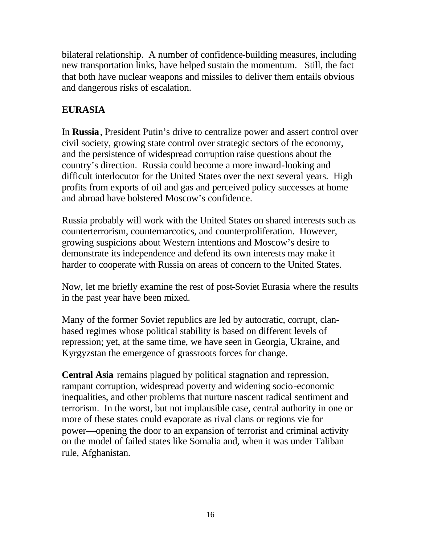bilateral relationship. A number of confidence-building measures, including new transportation links, have helped sustain the momentum. Still, the fact that both have nuclear weapons and missiles to deliver them entails obvious and dangerous risks of escalation.

### **EURASIA**

In **Russia**, President Putin's drive to centralize power and assert control over civil society, growing state control over strategic sectors of the economy, and the persistence of widespread corruption raise questions about the country's direction. Russia could become a more inward-looking and difficult interlocutor for the United States over the next several years. High profits from exports of oil and gas and perceived policy successes at home and abroad have bolstered Moscow's confidence.

Russia probably will work with the United States on shared interests such as counterterrorism, counternarcotics, and counterproliferation. However, growing suspicions about Western intentions and Moscow's desire to demonstrate its independence and defend its own interests may make it harder to cooperate with Russia on areas of concern to the United States.

Now, let me briefly examine the rest of post-Soviet Eurasia where the results in the past year have been mixed.

Many of the former Soviet republics are led by autocratic, corrupt, clanbased regimes whose political stability is based on different levels of repression; yet, at the same time, we have seen in Georgia, Ukraine, and Kyrgyzstan the emergence of grassroots forces for change.

**Central Asia** remains plagued by political stagnation and repression, rampant corruption, widespread poverty and widening socio-economic inequalities, and other problems that nurture nascent radical sentiment and terrorism. In the worst, but not implausible case, central authority in one or more of these states could evaporate as rival clans or regions vie for power—opening the door to an expansion of terrorist and criminal activity on the model of failed states like Somalia and, when it was under Taliban rule, Afghanistan.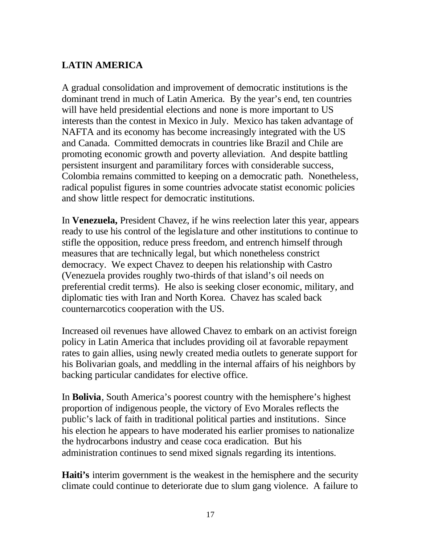# **LATIN AMERICA**

A gradual consolidation and improvement of democratic institutions is the dominant trend in much of Latin America. By the year's end, ten countries will have held presidential elections and none is more important to US interests than the contest in Mexico in July. Mexico has taken advantage of NAFTA and its economy has become increasingly integrated with the US and Canada. Committed democrats in countries like Brazil and Chile are promoting economic growth and poverty alleviation. And despite battling persistent insurgent and paramilitary forces with considerable success, Colombia remains committed to keeping on a democratic path. Nonetheless, radical populist figures in some countries advocate statist economic policies and show little respect for democratic institutions.

In **Venezuela,** President Chavez, if he wins reelection later this year, appears ready to use his control of the legislature and other institutions to continue to stifle the opposition, reduce press freedom, and entrench himself through measures that are technically legal, but which nonetheless constrict democracy. We expect Chavez to deepen his relationship with Castro (Venezuela provides roughly two-thirds of that island's oil needs on preferential credit terms). He also is seeking closer economic, military, and diplomatic ties with Iran and North Korea. Chavez has scaled back counternarcotics cooperation with the US.

Increased oil revenues have allowed Chavez to embark on an activist foreign policy in Latin America that includes providing oil at favorable repayment rates to gain allies, using newly created media outlets to generate support for his Bolivarian goals, and meddling in the internal affairs of his neighbors by backing particular candidates for elective office.

In **Bolivia**, South America's poorest country with the hemisphere's highest proportion of indigenous people, the victory of Evo Morales reflects the public's lack of faith in traditional political parties and institutions. Since his election he appears to have moderated his earlier promises to nationalize the hydrocarbons industry and cease coca eradication. But his administration continues to send mixed signals regarding its intentions.

**Haiti's** interim government is the weakest in the hemisphere and the security climate could continue to deteriorate due to slum gang violence. A failure to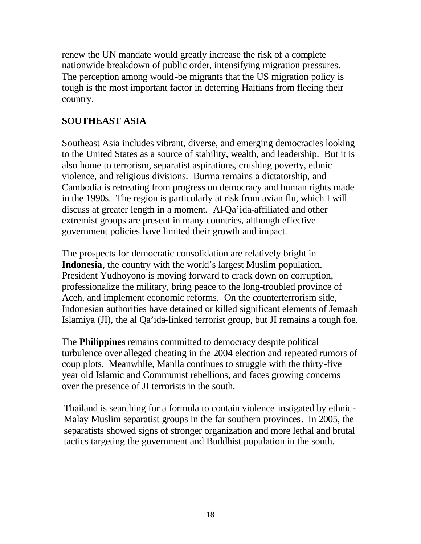renew the UN mandate would greatly increase the risk of a complete nationwide breakdown of public order, intensifying migration pressures. The perception among would-be migrants that the US migration policy is tough is the most important factor in deterring Haitians from fleeing their country.

### **SOUTHEAST ASIA**

Southeast Asia includes vibrant, diverse, and emerging democracies looking to the United States as a source of stability, wealth, and leadership. But it is also home to terrorism, separatist aspirations, crushing poverty, ethnic violence, and religious divisions. Burma remains a dictatorship, and Cambodia is retreating from progress on democracy and human rights made in the 1990s. The region is particularly at risk from avian flu, which I will discuss at greater length in a moment. Al-Qa'ida-affiliated and other extremist groups are present in many countries, although effective government policies have limited their growth and impact.

The prospects for democratic consolidation are relatively bright in **Indonesia**, the country with the world's largest Muslim population. President Yudhoyono is moving forward to crack down on corruption, professionalize the military, bring peace to the long-troubled province of Aceh, and implement economic reforms. On the counterterrorism side, Indonesian authorities have detained or killed significant elements of Jemaah Islamiya (JI), the al Qa'ida-linked terrorist group, but JI remains a tough foe.

The **Philippines** remains committed to democracy despite political turbulence over alleged cheating in the 2004 election and repeated rumors of coup plots. Meanwhile, Manila continues to struggle with the thirty-five year old Islamic and Communist rebellions, and faces growing concerns over the presence of JI terrorists in the south.

Thailand is searching for a formula to contain violence instigated by ethnic-Malay Muslim separatist groups in the far southern provinces. In 2005, the separatists showed signs of stronger organization and more lethal and brutal tactics targeting the government and Buddhist population in the south.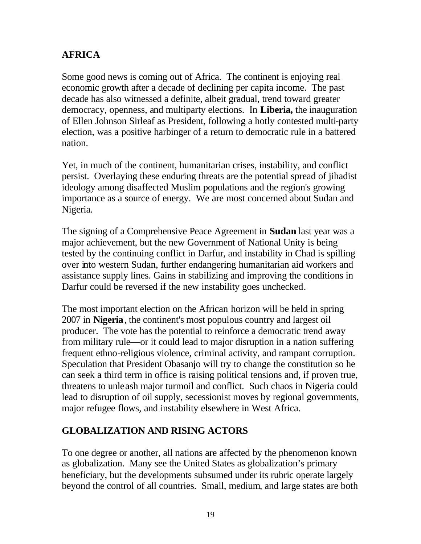## **AFRICA**

Some good news is coming out of Africa. The continent is enjoying real economic growth after a decade of declining per capita income. The past decade has also witnessed a definite, albeit gradual, trend toward greater democracy, openness, and multiparty elections. In **Liberia,** the inauguration of Ellen Johnson Sirleaf as President, following a hotly contested multi-party election, was a positive harbinger of a return to democratic rule in a battered nation.

Yet, in much of the continent, humanitarian crises, instability, and conflict persist. Overlaying these enduring threats are the potential spread of jihadist ideology among disaffected Muslim populations and the region's growing importance as a source of energy. We are most concerned about Sudan and Nigeria.

The signing of a Comprehensive Peace Agreement in **Sudan** last year was a major achievement, but the new Government of National Unity is being tested by the continuing conflict in Darfur, and instability in Chad is spilling over into western Sudan, further endangering humanitarian aid workers and assistance supply lines. Gains in stabilizing and improving the conditions in Darfur could be reversed if the new instability goes unchecked.

The most important election on the African horizon will be held in spring 2007 in **Nigeria**, the continent's most populous country and largest oil producer. The vote has the potential to reinforce a democratic trend away from military rule—or it could lead to major disruption in a nation suffering frequent ethno-religious violence, criminal activity, and rampant corruption. Speculation that President Obasanjo will try to change the constitution so he can seek a third term in office is raising political tensions and, if proven true, threatens to unleash major turmoil and conflict. Such chaos in Nigeria could lead to disruption of oil supply, secessionist moves by regional governments, major refugee flows, and instability elsewhere in West Africa.

### **GLOBALIZATION AND RISING ACTORS**

To one degree or another, all nations are affected by the phenomenon known as globalization. Many see the United States as globalization's primary beneficiary, but the developments subsumed under its rubric operate largely beyond the control of all countries. Small, medium, and large states are both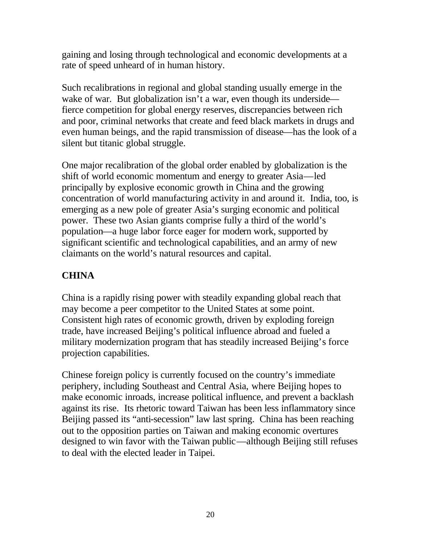gaining and losing through technological and economic developments at a rate of speed unheard of in human history.

Such recalibrations in regional and global standing usually emerge in the wake of war. But globalization isn't a war, even though its underside fierce competition for global energy reserves, discrepancies between rich and poor, criminal networks that create and feed black markets in drugs and even human beings, and the rapid transmission of disease—has the look of a silent but titanic global struggle.

One major recalibration of the global order enabled by globalization is the shift of world economic momentum and energy to greater Asia—led principally by explosive economic growth in China and the growing concentration of world manufacturing activity in and around it. India, too, is emerging as a new pole of greater Asia's surging economic and political power. These two Asian giants comprise fully a third of the world's population—a huge labor force eager for modern work, supported by significant scientific and technological capabilities, and an army of new claimants on the world's natural resources and capital.

# **CHINA**

China is a rapidly rising power with steadily expanding global reach that may become a peer competitor to the United States at some point. Consistent high rates of economic growth, driven by exploding foreign trade, have increased Beijing's political influence abroad and fueled a military modernization program that has steadily increased Beijing's force projection capabilities.

Chinese foreign policy is currently focused on the country's immediate periphery, including Southeast and Central Asia, where Beijing hopes to make economic inroads, increase political influence, and prevent a backlash against its rise. Its rhetoric toward Taiwan has been less inflammatory since Beijing passed its "anti-secession" law last spring. China has been reaching out to the opposition parties on Taiwan and making economic overtures designed to win favor with the Taiwan public—although Beijing still refuses to deal with the elected leader in Taipei.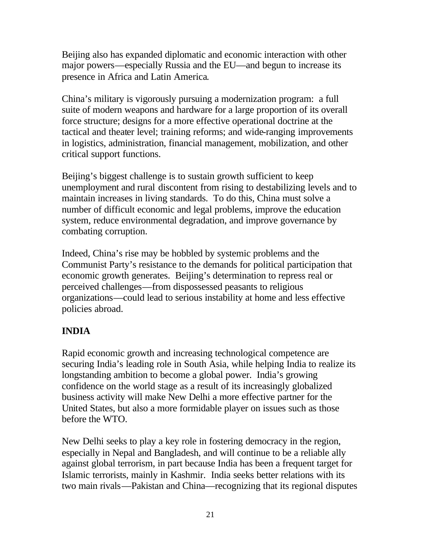Beijing also has expanded diplomatic and economic interaction with other major powers—especially Russia and the EU—and begun to increase its presence in Africa and Latin America.

China's military is vigorously pursuing a modernization program: a full suite of modern weapons and hardware for a large proportion of its overall force structure; designs for a more effective operational doctrine at the tactical and theater level; training reforms; and wide-ranging improvements in logistics, administration, financial management, mobilization, and other critical support functions.

Beijing's biggest challenge is to sustain growth sufficient to keep unemployment and rural discontent from rising to destabilizing levels and to maintain increases in living standards. To do this, China must solve a number of difficult economic and legal problems, improve the education system, reduce environmental degradation, and improve governance by combating corruption.

Indeed, China's rise may be hobbled by systemic problems and the Communist Party's resistance to the demands for political participation that economic growth generates. Beijing's determination to repress real or perceived challenges—from dispossessed peasants to religious organizations—could lead to serious instability at home and less effective policies abroad.

# **INDIA**

Rapid economic growth and increasing technological competence are securing India's leading role in South Asia, while helping India to realize its longstanding ambition to become a global power. India's growing confidence on the world stage as a result of its increasingly globalized business activity will make New Delhi a more effective partner for the United States, but also a more formidable player on issues such as those before the WTO.

New Delhi seeks to play a key role in fostering democracy in the region, especially in Nepal and Bangladesh, and will continue to be a reliable ally against global terrorism, in part because India has been a frequent target for Islamic terrorists, mainly in Kashmir. India seeks better relations with its two main rivals—Pakistan and China—recognizing that its regional disputes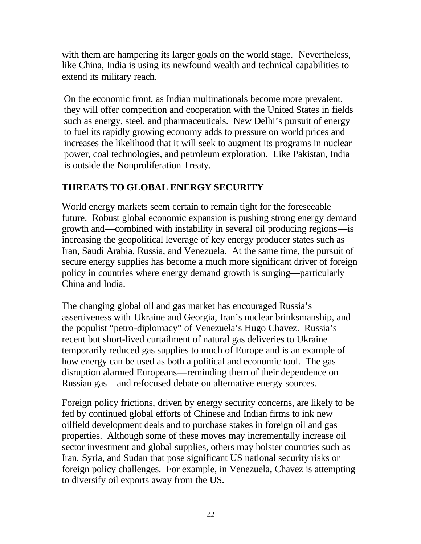with them are hampering its larger goals on the world stage. Nevertheless, like China, India is using its newfound wealth and technical capabilities to extend its military reach.

On the economic front, as Indian multinationals become more prevalent, they will offer competition and cooperation with the United States in fields such as energy, steel, and pharmaceuticals. New Delhi's pursuit of energy to fuel its rapidly growing economy adds to pressure on world prices and increases the likelihood that it will seek to augment its programs in nuclear power, coal technologies, and petroleum exploration. Like Pakistan, India is outside the Nonproliferation Treaty.

### **THREATS TO GLOBAL ENERGY SECURITY**

World energy markets seem certain to remain tight for the foreseeable future. Robust global economic expansion is pushing strong energy demand growth and—combined with instability in several oil producing regions—is increasing the geopolitical leverage of key energy producer states such as Iran, Saudi Arabia, Russia, and Venezuela. At the same time, the pursuit of secure energy supplies has become a much more significant driver of foreign policy in countries where energy demand growth is surging—particularly China and India.

The changing global oil and gas market has encouraged Russia's assertiveness with Ukraine and Georgia, Iran's nuclear brinksmanship, and the populist "petro-diplomacy" of Venezuela's Hugo Chavez. Russia's recent but short-lived curtailment of natural gas deliveries to Ukraine temporarily reduced gas supplies to much of Europe and is an example of how energy can be used as both a political and economic tool. The gas disruption alarmed Europeans—reminding them of their dependence on Russian gas—and refocused debate on alternative energy sources.

Foreign policy frictions, driven by energy security concerns, are likely to be fed by continued global efforts of Chinese and Indian firms to ink new oilfield development deals and to purchase stakes in foreign oil and gas properties. Although some of these moves may incrementally increase oil sector investment and global supplies, others may bolster countries such as Iran, Syria, and Sudan that pose significant US national security risks or foreign policy challenges. For example, in Venezuela**,** Chavez is attempting to diversify oil exports away from the US.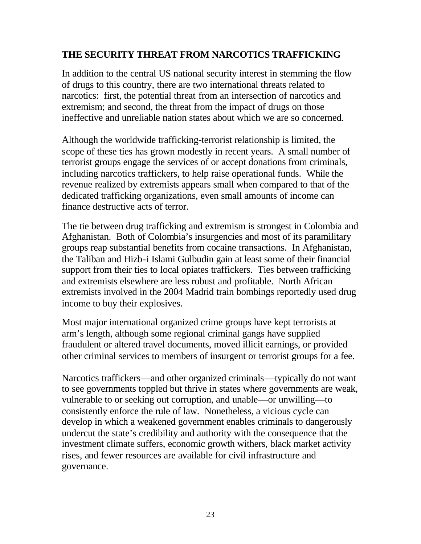#### **THE SECURITY THREAT FROM NARCOTICS TRAFFICKING**

In addition to the central US national security interest in stemming the flow of drugs to this country, there are two international threats related to narcotics: first, the potential threat from an intersection of narcotics and extremism; and second, the threat from the impact of drugs on those ineffective and unreliable nation states about which we are so concerned.

Although the worldwide trafficking-terrorist relationship is limited, the scope of these ties has grown modestly in recent years. A small number of terrorist groups engage the services of or accept donations from criminals, including narcotics traffickers, to help raise operational funds. While the revenue realized by extremists appears small when compared to that of the dedicated trafficking organizations, even small amounts of income can finance destructive acts of terror.

The tie between drug trafficking and extremism is strongest in Colombia and Afghanistan. Both of Colombia's insurgencies and most of its paramilitary groups reap substantial benefits from cocaine transactions. In Afghanistan, the Taliban and Hizb-i Islami Gulbudin gain at least some of their financial support from their ties to local opiates traffickers. Ties between trafficking and extremists elsewhere are less robust and profitable. North African extremists involved in the 2004 Madrid train bombings reportedly used drug income to buy their explosives.

Most major international organized crime groups have kept terrorists at arm's length, although some regional criminal gangs have supplied fraudulent or altered travel documents, moved illicit earnings, or provided other criminal services to members of insurgent or terrorist groups for a fee.

Narcotics traffickers—and other organized criminals—typically do not want to see governments toppled but thrive in states where governments are weak, vulnerable to or seeking out corruption, and unable—or unwilling—to consistently enforce the rule of law. Nonetheless, a vicious cycle can develop in which a weakened government enables criminals to dangerously undercut the state's credibility and authority with the consequence that the investment climate suffers, economic growth withers, black market activity rises, and fewer resources are available for civil infrastructure and governance.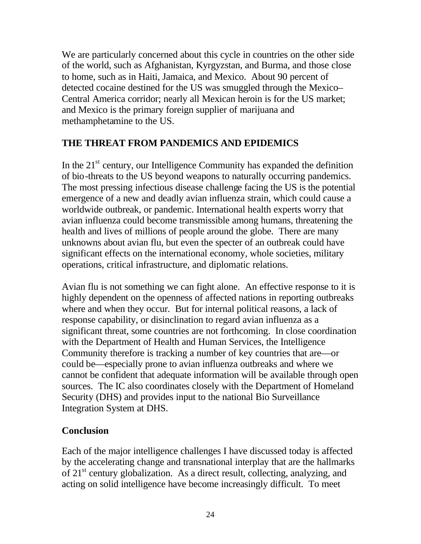We are particularly concerned about this cycle in countries on the other side of the world, such as Afghanistan, Kyrgyzstan, and Burma, and those close to home, such as in Haiti, Jamaica, and Mexico. About 90 percent of detected cocaine destined for the US was smuggled through the Mexico– Central America corridor; nearly all Mexican heroin is for the US market; and Mexico is the primary foreign supplier of marijuana and methamphetamine to the US.

### **THE THREAT FROM PANDEMICS AND EPIDEMICS**

In the  $21<sup>st</sup>$  century, our Intelligence Community has expanded the definition of bio-threats to the US beyond weapons to naturally occurring pandemics. The most pressing infectious disease challenge facing the US is the potential emergence of a new and deadly avian influenza strain, which could cause a worldwide outbreak, or pandemic. International health experts worry that avian influenza could become transmissible among humans, threatening the health and lives of millions of people around the globe. There are many unknowns about avian flu, but even the specter of an outbreak could have significant effects on the international economy, whole societies, military operations, critical infrastructure, and diplomatic relations.

Avian flu is not something we can fight alone. An effective response to it is highly dependent on the openness of affected nations in reporting outbreaks where and when they occur. But for internal political reasons, a lack of response capability, or disinclination to regard avian influenza as a significant threat, some countries are not forthcoming. In close coordination with the Department of Health and Human Services, the Intelligence Community therefore is tracking a number of key countries that are—or could be—especially prone to avian influenza outbreaks and where we cannot be confident that adequate information will be available through open sources. The IC also coordinates closely with the Department of Homeland Security (DHS) and provides input to the national Bio Surveillance Integration System at DHS.

# **Conclusion**

Each of the major intelligence challenges I have discussed today is affected by the accelerating change and transnational interplay that are the hallmarks of 21<sup>st</sup> century globalization. As a direct result, collecting, analyzing, and acting on solid intelligence have become increasingly difficult. To meet